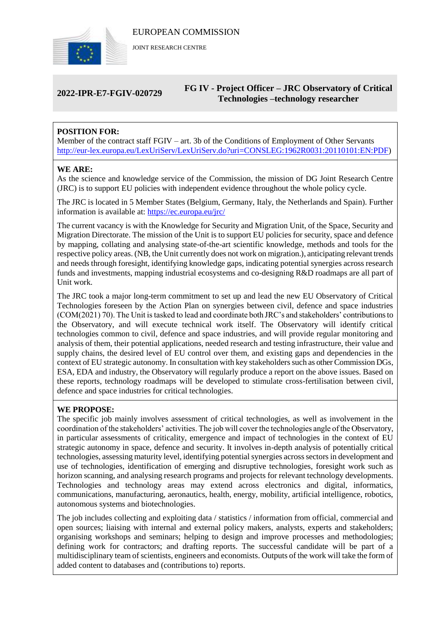

JOINT RESEARCH CENTRE

# **2022-IPR-E7-FGIV-020729 FG IV - Project Officer – JRC Observatory of Critical Technologies –technology researcher**

# **POSITION FOR:**

Member of the contract staff FGIV – art. 3b of the Conditions of Employment of Other Servants [http://eur-lex.europa.eu/LexUriServ/LexUriServ.do?uri=CONSLEG:1962R0031:20110101:EN:PDF\)](http://eur-lex.europa.eu/LexUriServ/LexUriServ.do?uri=CONSLEG:1962R0031:20110101:EN:PDF)

### **WE ARE:**

As the science and knowledge service of the Commission, the mission of DG Joint Research Centre (JRC) is to support EU policies with independent evidence throughout the whole policy cycle.

The JRC is located in 5 Member States (Belgium, Germany, Italy, the Netherlands and Spain). Further information is available at: <https://ec.europa.eu/jrc/>

The current vacancy is with the Knowledge for Security and Migration Unit, of the Space, Security and Migration Directorate. The mission of the Unit is to support EU policies for security, space and defence by mapping, collating and analysing state-of-the-art scientific knowledge, methods and tools for the respective policy areas. (NB, the Unit currently does not work on migration.), anticipating relevant trends and needs through foresight, identifying knowledge gaps, indicating potential synergies across research funds and investments, mapping industrial ecosystems and co-designing R&D roadmaps are all part of Unit work.

The JRC took a major long-term commitment to set up and lead the new EU Observatory of Critical Technologies foreseen by the Action Plan on synergies between civil, defence and space industries (COM(2021) 70). The Unit is tasked to lead and coordinate both JRC's and stakeholders' contributions to the Observatory, and will execute technical work itself. The Observatory will identify critical technologies common to civil, defence and space industries, and will provide regular monitoring and analysis of them, their potential applications, needed research and testing infrastructure, their value and supply chains, the desired level of EU control over them, and existing gaps and dependencies in the context of EU strategic autonomy. In consultation with key stakeholders such as other Commission DGs, ESA, EDA and industry, the Observatory will regularly produce a report on the above issues. Based on these reports, technology roadmaps will be developed to stimulate cross-fertilisation between civil, defence and space industries for critical technologies.

#### **WE PROPOSE:**

The specific job mainly involves assessment of critical technologies, as well as involvement in the coordination of the stakeholders' activities. The job will cover the technologies angle of the Observatory, in particular assessments of criticality, emergence and impact of technologies in the context of EU strategic autonomy in space, defence and security. It involves in-depth analysis of potentially critical technologies, assessing maturity level, identifying potential synergies across sectors in development and use of technologies, identification of emerging and disruptive technologies, foresight work such as horizon scanning, and analysing research programs and projects for relevant technology developments. Technologies and technology areas may extend across electronics and digital, informatics, communications, manufacturing, aeronautics, health, energy, mobility, artificial intelligence, robotics, autonomous systems and biotechnologies.

The job includes collecting and exploiting data / statistics / information from official, commercial and open sources; liaising with internal and external policy makers, analysts, experts and stakeholders; organising workshops and seminars; helping to design and improve processes and methodologies; defining work for contractors; and drafting reports. The successful candidate will be part of a multidisciplinary team of scientists, engineers and economists. Outputs of the work will take the form of added content to databases and (contributions to) reports.